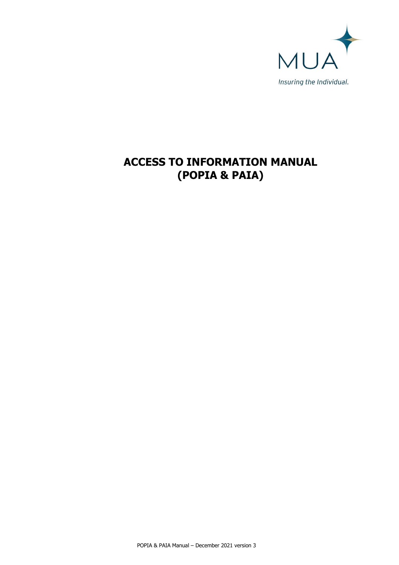

# **ACCESS TO INFORMATION MANUAL (POPIA & PAIA)**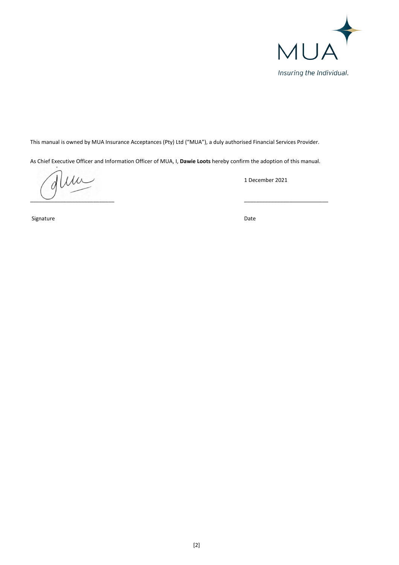

This manual is owned by MUA Insurance Acceptances (Pty) Ltd ("MUA"), a duly authorised Financial Services Provider.

As Chief Executive Officer and Information Officer of MUA, I, **Dawie Loots** hereby confirm the adoption of this manual.

 $\mu$ \_\_\_\_\_\_\_\_\_\_\_\_\_\_\_\_\_\_\_\_\_\_\_\_\_\_\_\_ \_\_\_\_\_\_\_\_\_\_\_\_\_\_\_\_\_\_\_\_\_\_\_\_\_\_\_\_

1 December 2021

Signature Date **Date of the Contract of Contract Contract of Contract Contract Contract Only and Contract Only 20**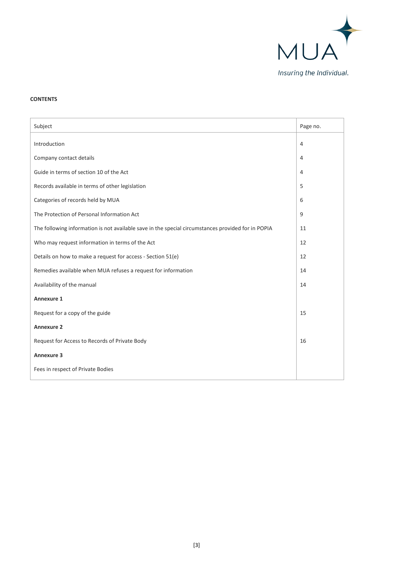

# **CONTENTS**

| Subject                                                                                            | Page no.       |
|----------------------------------------------------------------------------------------------------|----------------|
| Introduction                                                                                       | $\overline{4}$ |
| Company contact details                                                                            | $\overline{4}$ |
| Guide in terms of section 10 of the Act                                                            | $\overline{4}$ |
| Records available in terms of other legislation                                                    | 5              |
| Categories of records held by MUA                                                                  | 6              |
| The Protection of Personal Information Act                                                         | 9              |
| The following information is not available save in the special circumstances provided for in POPIA | 11             |
| Who may request information in terms of the Act                                                    | 12             |
| Details on how to make a request for access - Section 51(e)                                        | 12             |
| Remedies available when MUA refuses a request for information                                      | 14             |
| Availability of the manual                                                                         | 14             |
| <b>Annexure 1</b>                                                                                  |                |
| Request for a copy of the guide                                                                    | 15             |
| <b>Annexure 2</b>                                                                                  |                |
| Request for Access to Records of Private Body                                                      | 16             |
| <b>Annexure 3</b>                                                                                  |                |
| Fees in respect of Private Bodies                                                                  |                |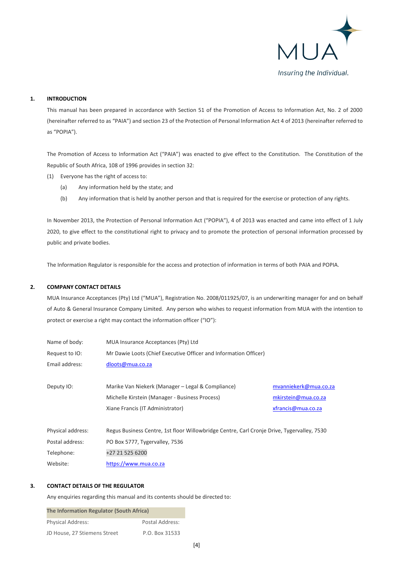

## **1. INTRODUCTION**

This manual has been prepared in accordance with Section 51 of the Promotion of Access to Information Act, No. 2 of 2000 (hereinafter referred to as "PAIA") and section 23 of the Protection of Personal Information Act 4 of 2013 (hereinafter referred to as "POPIA").

The Promotion of Access to Information Act ("PAIA") was enacted to give effect to the Constitution. The Constitution of the Republic of South Africa, 108 of 1996 provides in section 32:

- (1) Everyone has the right of access to:
	- (a) Any information held by the state; and
	- (b) Any information that is held by another person and that is required for the exercise or protection of any rights.

In November 2013, the Protection of Personal Information Act ("POPIA"), 4 of 2013 was enacted and came into effect of 1 July 2020, to give effect to the constitutional right to privacy and to promote the protection of personal information processed by public and private bodies.

The Information Regulator is responsible for the access and protection of information in terms of both PAIA and POPIA.

## **2. COMPANY CONTACT DETAILS**

MUA Insurance Acceptances (Pty) Ltd ("MUA"), Registration No. 2008/011925/07, is an underwriting manager for and on behalf of Auto & General Insurance Company Limited. Any person who wishes to request information from MUA with the intention to protect or exercise a right may contact the information officer ("IO"):

| Name of body:     | MUA Insurance Acceptances (Pty) Ltd                                                        |                       |
|-------------------|--------------------------------------------------------------------------------------------|-----------------------|
| Request to IO:    | Mr Dawie Loots (Chief Executive Officer and Information Officer)                           |                       |
| Email address:    | dloots@mua.co.za                                                                           |                       |
|                   |                                                                                            |                       |
| Deputy IO:        | Marike Van Niekerk (Manager – Legal & Compliance)                                          | mvanniekerk@mua.co.za |
|                   | Michelle Kirstein (Manager - Business Process)                                             | mkirstein@mua.co.za   |
|                   | Xiane Francis (IT Administrator)                                                           | xfrancis@mua.co.za    |
|                   |                                                                                            |                       |
| Physical address: | Regus Business Centre, 1st floor Willowbridge Centre, Carl Cronje Drive, Tygervalley, 7530 |                       |
| Postal address:   | PO Box 5777, Tygervalley, 7536                                                             |                       |
| Telephone:        | +27 21 525 6200                                                                            |                       |
| Website:          | https://www.mua.co.za                                                                      |                       |

## **3. CONTACT DETAILS OF THE REGULATOR**

Any enquiries regarding this manual and its contents should be directed to:

| The Information Regulator (South Africa) |                 |  |
|------------------------------------------|-----------------|--|
| <b>Physical Address:</b>                 | Postal Address: |  |
| JD House, 27 Stiemens Street             | P.O. Box 31533  |  |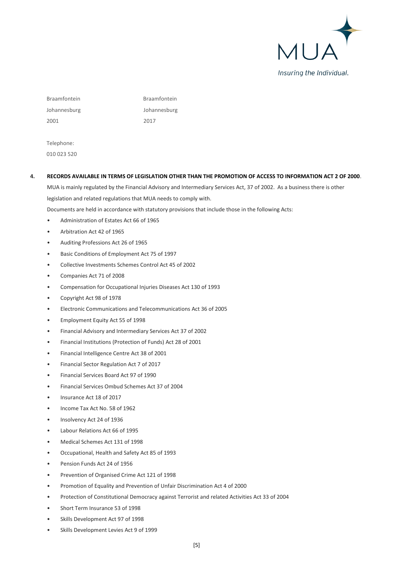

Braamfontein Braamfontein Johannesburg Johannesburg 2001 2017

Telephone: 010 023 520

## **4. RECORDS AVAILABLE IN TERMS OF LEGISLATION OTHER THAN THE PROMOTION OF ACCESS TO INFORMATION ACT 2 OF 2000**.

MUA is mainly regulated by the Financial Advisory and Intermediary Services Act, 37 of 2002. As a business there is other legislation and related regulations that MUA needs to comply with.

Documents are held in accordance with statutory provisions that include those in the following Acts:

- Administration of Estates Act 66 of 1965
- Arbitration Act 42 of 1965
- Auditing Professions Act 26 of 1965
- Basic Conditions of Employment Act 75 of 1997
- Collective Investments Schemes Control Act 45 of 2002
- Companies Act 71 of 2008
- Compensation for Occupational Injuries Diseases Act 130 of 1993
- Copyright Act 98 of 1978
- Electronic Communications and Telecommunications Act 36 of 2005
- Employment Equity Act 55 of 1998
- Financial Advisory and Intermediary Services Act 37 of 2002
- Financial Institutions (Protection of Funds) Act 28 of 2001
- Financial Intelligence Centre Act 38 of 2001
- Financial Sector Regulation Act 7 of 2017
- Financial Services Board Act 97 of 1990
- Financial Services Ombud Schemes Act 37 of 2004
- Insurance Act 18 of 2017
- Income Tax Act No. 58 of 1962
- Insolvency Act 24 of 1936
- Labour Relations Act 66 of 1995
- Medical Schemes Act 131 of 1998
- Occupational, Health and Safety Act 85 of 1993
- Pension Funds Act 24 of 1956
- Prevention of Organised Crime Act 121 of 1998
- Promotion of Equality and Prevention of Unfair Discrimination Act 4 of 2000
- Protection of Constitutional Democracy against Terrorist and related Activities Act 33 of 2004
- Short Term Insurance 53 of 1998
- Skills Development Act 97 of 1998
- Skills Development Levies Act 9 of 1999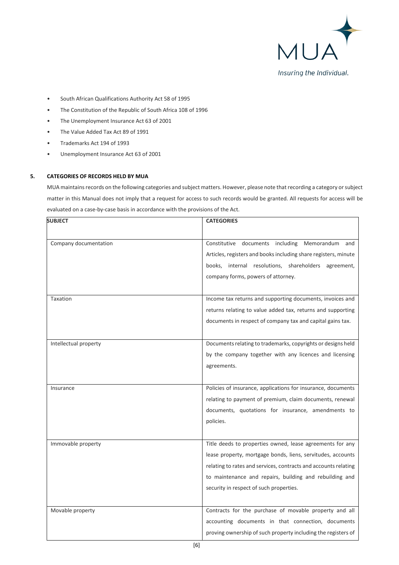

- South African Qualifications Authority Act 58 of 1995
- The Constitution of the Republic of South Africa 108 of 1996
- The Unemployment Insurance Act 63 of 2001
- The Value Added Tax Act 89 of 1991
- Trademarks Act 194 of 1993
- Unemployment Insurance Act 63 of 2001

# **5. CATEGORIES OF RECORDS HELD BY MUA**

MUA maintains records on the following categories and subject matters. However, please note that recording a category or subject matter in this Manual does not imply that a request for access to such records would be granted. All requests for access will be evaluated on a case-by-case basis in accordance with the provisions of the Act.

| <b>SUBJECT</b>        | <b>CATEGORIES</b>                                               |  |
|-----------------------|-----------------------------------------------------------------|--|
|                       |                                                                 |  |
| Company documentation | Constitutive<br>documents<br>including<br>Memorandum<br>and     |  |
|                       | Articles, registers and books including share registers, minute |  |
|                       | books, internal resolutions, shareholders agreement,            |  |
|                       | company forms, powers of attorney.                              |  |
|                       |                                                                 |  |
| Taxation              | Income tax returns and supporting documents, invoices and       |  |
|                       | returns relating to value added tax, returns and supporting     |  |
|                       | documents in respect of company tax and capital gains tax.      |  |
|                       |                                                                 |  |
| Intellectual property | Documents relating to trademarks, copyrights or designs held    |  |
|                       | by the company together with any licences and licensing         |  |
|                       | agreements.                                                     |  |
|                       |                                                                 |  |
| Insurance             | Policies of insurance, applications for insurance, documents    |  |
|                       | relating to payment of premium, claim documents, renewal        |  |
|                       | documents, quotations for insurance, amendments to              |  |
|                       | policies.                                                       |  |
|                       |                                                                 |  |
| Immovable property    | Title deeds to properties owned, lease agreements for any       |  |
|                       | lease property, mortgage bonds, liens, servitudes, accounts     |  |
|                       | relating to rates and services, contracts and accounts relating |  |
|                       | to maintenance and repairs, building and rebuilding and         |  |
|                       | security in respect of such properties.                         |  |
|                       |                                                                 |  |
| Movable property      | Contracts for the purchase of movable property and all          |  |
|                       | accounting documents in that connection, documents              |  |
|                       | proving ownership of such property including the registers of   |  |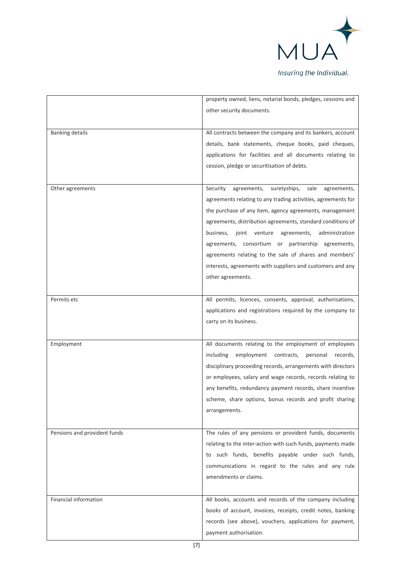

|                              | property owned, liens, notarial bonds, pledges, cessions and  |
|------------------------------|---------------------------------------------------------------|
|                              | other security documents.                                     |
|                              |                                                               |
| <b>Banking details</b>       | All contracts between the company and its bankers, account    |
|                              | details, bank statements, cheque books, paid cheques,         |
|                              | applications for facilities and all documents relating to     |
|                              | cession, pledge or securitisation of debts.                   |
|                              |                                                               |
|                              |                                                               |
| Other agreements             | suretyships,<br>Security<br>agreements,<br>sale agreements,   |
|                              | agreements relating to any trading activities, agreements for |
|                              | the purchase of any item, agency agreements, management       |
|                              | agreements, distribution agreements, standard conditions of   |
|                              | agreements, administration<br>business, joint<br>venture      |
|                              | agreements, consortium or partnership agreements,             |
|                              | agreements relating to the sale of shares and members'        |
|                              | interests, agreements with suppliers and customers and any    |
|                              | other agreements.                                             |
|                              |                                                               |
| Permits etc                  | All permits, licences, consents, approval, authorisations,    |
|                              |                                                               |
|                              | applications and registrations required by the company to     |
|                              | carry on its business.                                        |
|                              |                                                               |
| Employment                   | All documents relating to the employment of employees         |
|                              | including<br>employment contracts, personal records,          |
|                              | disciplinary proceeding records, arrangements with directors  |
|                              | or employees, salary and wage records, records relating to    |
|                              | any benefits, redundancy payment records, share incentive     |
|                              | scheme, share options, bonus records and profit sharing       |
|                              | arrangements.                                                 |
|                              |                                                               |
| Pensions and provident funds | The rules of any pensions or provident funds, documents       |
|                              | relating to the inter-action with such funds, payments made   |
|                              | to such funds, benefits payable under such funds,             |
|                              |                                                               |
|                              | communications in regard to the rules and any rule            |
|                              | amendments or claims.                                         |
|                              |                                                               |
| Financial information        | All books, accounts and records of the company including      |
|                              | books of account, invoices, receipts, credit notes, banking   |
|                              | records (see above), vouchers, applications for payment,      |
|                              | payment authorisation.                                        |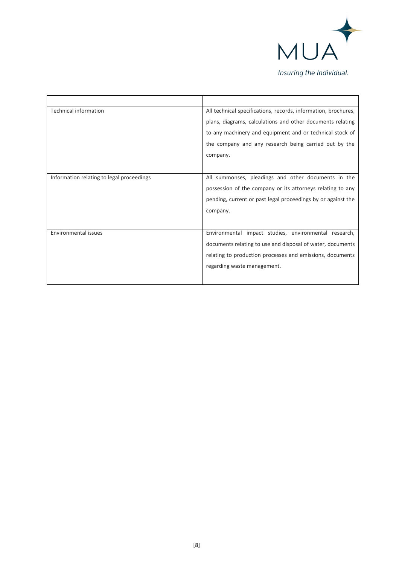

| <b>Technical information</b>              | All technical specifications, records, information, brochures, |
|-------------------------------------------|----------------------------------------------------------------|
|                                           | plans, diagrams, calculations and other documents relating     |
|                                           | to any machinery and equipment and or technical stock of       |
|                                           | the company and any research being carried out by the          |
|                                           | company.                                                       |
|                                           |                                                                |
| Information relating to legal proceedings | All summonses, pleadings and other documents in the            |
|                                           | possession of the company or its attorneys relating to any     |
|                                           | pending, current or past legal proceedings by or against the   |
|                                           | company.                                                       |
|                                           |                                                                |
| <b>Environmental issues</b>               | Environmental impact studies, environmental research,          |
|                                           | documents relating to use and disposal of water, documents     |
|                                           | relating to production processes and emissions, documents      |
|                                           | regarding waste management.                                    |
|                                           |                                                                |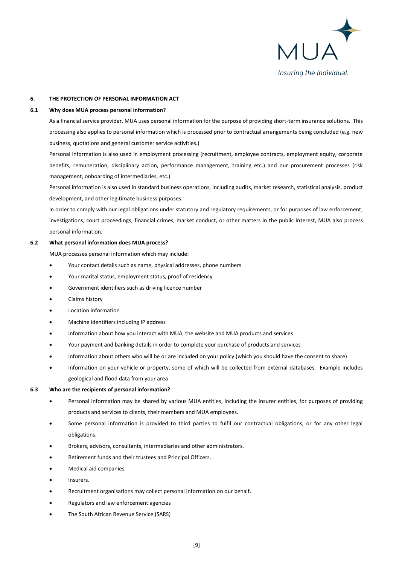

#### **6. THE PROTECTION OF PERSONAL INFORMATION ACT**

#### **6.1 Why does MUA process personal information?**

As a financial service provider, MUA uses personal information for the purpose of providing short-term insurance solutions. This processing also applies to personal information which is processed prior to contractual arrangements being concluded (e.g. new business, quotations and general customer service activities.)

Personal information is also used in employment processing (recruitment, employee contracts, employment equity, corporate benefits, remuneration, disciplinary action, performance management, training etc.) and our procurement processes (risk management, onboarding of intermediaries, etc.)

Personal information is also used in standard business operations, including audits, market research, statistical analysis, product development, and other legitimate business purposes.

In order to comply with our legal obligations under statutory and regulatory requirements, or for purposes of law enforcement, investigations, court proceedings, financial crimes, market conduct, or other matters in the public interest, MUA also process personal information.

#### **6.2 What personal information does MUA process?**

MUA processes personal information which may include:

- Your contact details such as name, physical addresses, phone numbers
- Your marital status, employment status, proof of residency
- Government identifiers such as driving licence number
- Claims history
- Location information
- Machine identifiers including IP address
- Information about how you interact with MUA, the website and MUA products and services
- Your payment and banking details in order to complete your purchase of products and services
- Information about others who will be or are included on your policy (which you should have the consent to share)
- Information on your vehicle or property, some of which will be collected from external databases. Example includes geological and flood data from your area

#### **6.3 Who are the recipients of personal information?**

- Personal information may be shared by various MUA entities, including the insurer entities, for purposes of providing products and services to clients, their members and MUA employees.
- Some personal information is provided to third parties to fulfil our contractual obligations, or for any other legal obligations.
- Brokers, advisors, consultants, intermediaries and other administrators.
- Retirement funds and their trustees and Principal Officers.
- Medical aid companies.
- Insurers.
- Recruitment organisations may collect personal information on our behalf.
- Regulators and law enforcement agencies
- The South African Revenue Service (SARS)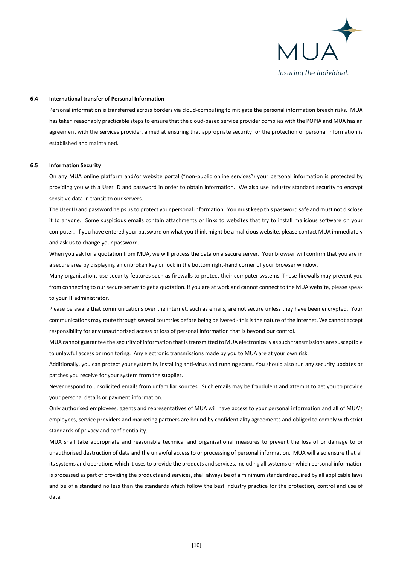

#### **6.4 International transfer of Personal Information**

Personal information is transferred across borders via cloud-computing to mitigate the personal information breach risks. MUA has taken reasonably practicable steps to ensure that the cloud-based service provider complies with the POPIA and MUA has an agreement with the services provider, aimed at ensuring that appropriate security for the protection of personal information is established and maintained.

#### **6.5 Information Security**

On any MUA online platform and/or website portal ("non-public online services") your personal information is protected by providing you with a User ID and password in order to obtain information. We also use industry standard security to encrypt sensitive data in transit to our servers.

The User ID and password helps us to protect your personal information. You must keep this password safe and must not disclose it to anyone. Some suspicious emails contain attachments or links to websites that try to install malicious software on your computer. If you have entered your password on what you think might be a malicious website, please contact MUA immediately and ask us to change your password.

When you ask for a quotation from MUA, we will process the data on a secure server. Your browser will confirm that you are in a secure area by displaying an unbroken key or lock in the bottom right-hand corner of your browser window.

Many organisations use security features such as firewalls to protect their computer systems. These firewalls may prevent you from connecting to our secure server to get a quotation. If you are at work and cannot connect to the MUA website, please speak to your IT administrator.

Please be aware that communications over the internet, such as emails, are not secure unless they have been encrypted. Your communications may route through several countries before being delivered - this is the nature of the Internet. We cannot accept responsibility for any unauthorised access or loss of personal information that is beyond our control.

MUA cannot guarantee the security of information that is transmitted to MUA electronically as such transmissions are susceptible to unlawful access or monitoring. Any electronic transmissions made by you to MUA are at your own risk.

Additionally, you can protect your system by installing anti-virus and running scans. You should also run any security updates or patches you receive for your system from the supplier.

Never respond to unsolicited emails from unfamiliar sources. Such emails may be fraudulent and attempt to get you to provide your personal details or payment information.

Only authorised employees, agents and representatives of MUA will have access to your personal information and all of MUA's employees, service providers and marketing partners are bound by confidentiality agreements and obliged to comply with strict standards of privacy and confidentiality.

MUA shall take appropriate and reasonable technical and organisational measures to prevent the loss of or damage to or unauthorised destruction of data and the unlawful access to or processing of personal information. MUA will also ensure that all its systems and operations which it uses to provide the products and services, including all systems on which personal information is processed as part of providing the products and services, shall always be of a minimum standard required by all applicable laws and be of a standard no less than the standards which follow the best industry practice for the protection, control and use of data.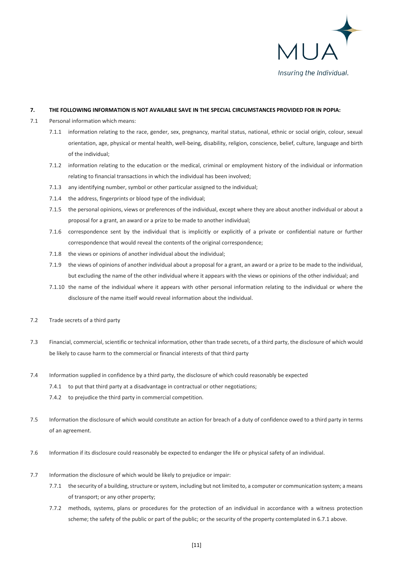

#### **7. THE FOLLOWING INFORMATION IS NOT AVAILABLE SAVE IN THE SPECIAL CIRCUMSTANCES PROVIDED FOR IN POPIA:**

- 7.1 Personal information which means:
	- 7.1.1 information relating to the race, gender, sex, pregnancy, marital status, national, ethnic or social origin, colour, sexual orientation, age, physical or mental health, well-being, disability, religion, conscience, belief, culture, language and birth of the individual;
	- 7.1.2 information relating to the education or the medical, criminal or employment history of the individual or information relating to financial transactions in which the individual has been involved;
	- 7.1.3 any identifying number, symbol or other particular assigned to the individual;
	- 7.1.4 the address, fingerprints or blood type of the individual;
	- 7.1.5 the personal opinions, views or preferences of the individual, except where they are about another individual or about a proposal for a grant, an award or a prize to be made to another individual;
	- 7.1.6 correspondence sent by the individual that is implicitly or explicitly of a private or confidential nature or further correspondence that would reveal the contents of the original correspondence;
	- 7.1.8 the views or opinions of another individual about the individual;
	- 7.1.9 the views of opinions of another individual about a proposal for a grant, an award or a prize to be made to the individual, but excluding the name of the other individual where it appears with the views or opinions of the other individual; and
	- 7.1.10 the name of the individual where it appears with other personal information relating to the individual or where the disclosure of the name itself would reveal information about the individual.
- 7.2 Trade secrets of a third party
- 7.3 Financial, commercial, scientific or technical information, other than trade secrets, of a third party, the disclosure of which would be likely to cause harm to the commercial or financial interests of that third party
- 7.4 Information supplied in confidence by a third party, the disclosure of which could reasonably be expected
	- 7.4.1 to put that third party at a disadvantage in contractual or other negotiations;
	- 7.4.2 to prejudice the third party in commercial competition.
- 7.5 Information the disclosure of which would constitute an action for breach of a duty of confidence owed to a third party in terms of an agreement.
- 7.6 Information if its disclosure could reasonably be expected to endanger the life or physical safety of an individual.
- 7.7 Information the disclosure of which would be likely to prejudice or impair:
	- 7.7.1 the security of a building, structure or system, including but not limited to, a computer or communication system; a means of transport; or any other property;
	- 7.7.2 methods, systems, plans or procedures for the protection of an individual in accordance with a witness protection scheme; the safety of the public or part of the public; or the security of the property contemplated in 6.7.1 above.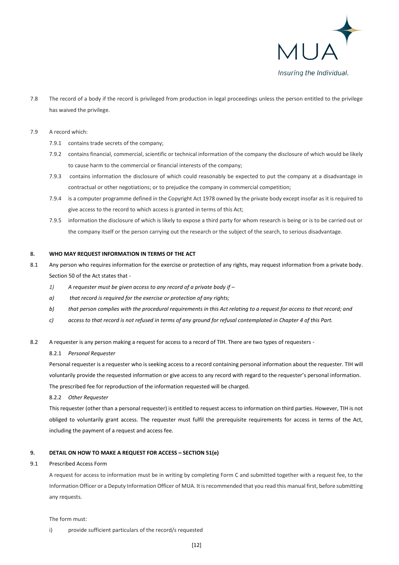

7.8 The record of a body if the record is privileged from production in legal proceedings unless the person entitled to the privilege has waived the privilege.

#### 7.9 A record which:

- 7.9.1 contains trade secrets of the company;
- 7.9.2 contains financial, commercial, scientific or technical information of the company the disclosure of which would be likely to cause harm to the commercial or financial interests of the company;
- 7.9.3 contains information the disclosure of which could reasonably be expected to put the company at a disadvantage in contractual or other negotiations; or to prejudice the company in commercial competition;
- 7.9.4 is a computer programme defined in the Copyright Act 1978 owned by the private body except insofar as it is required to give access to the record to which access is granted in terms of this Act;
- 7.9.5 information the disclosure of which is likely to expose a third party for whom research is being or is to be carried out or the company itself or the person carrying out the research or the subject of the search, to serious disadvantage.

#### **8. WHO MAY REQUEST INFORMATION IN TERMS OF THE ACT**

- 8.1 Any person who requires information for the exercise or protection of any rights, may request information from a private body. Section 50 of the Act states that -
	- *1) A requester must be given access to any record of a private body if –*
	- *a) that record is required for the exercise or protection of any rights;*
	- *b) that person complies with the procedural requirements in this Act relating to a request for access to that record; and*
	- *c) access to that record is not refused in terms of any ground for refusal contemplated in Chapter 4 of this Part.*
- 8.2 A requester is any person making a request for access to a record of TIH. There are two types of requesters -

#### 8.2.1 *Personal Requester*

Personal requester is a requester who is seeking access to a record containing personal information about the requester. TIH will voluntarily provide the requested information or give access to any record with regard to the requester's personal information. The prescribed fee for reproduction of the information requested will be charged.

#### 8.2.2 *Other Requester*

This requester (other than a personal requester) is entitled to request access to information on third parties. However, TIH is not obliged to voluntarily grant access. The requester must fulfil the prerequisite requirements for access in terms of the Act, including the payment of a request and access fee.

## **9. DETAIL ON HOW TO MAKE A REQUEST FOR ACCESS – SECTION 51(e)**

#### 9.1 Prescribed Access Form

A request for access to information must be in writing by completing Form C and submitted together with a request fee, to the Information Officer or a Deputy Information Officer of MUA. It is recommended that you read this manual first, before submitting any requests.

The form must:

i) provide sufficient particulars of the record/s requested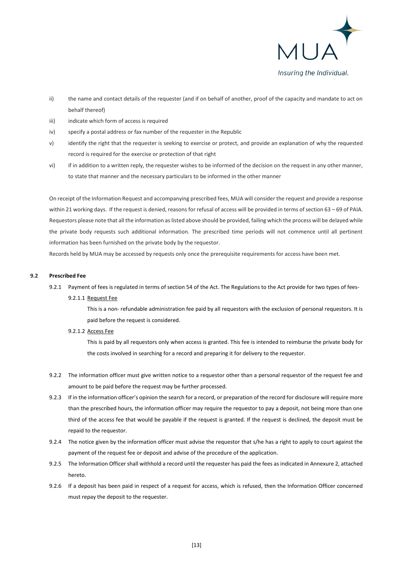

- ii) the name and contact details of the requester (and if on behalf of another, proof of the capacity and mandate to act on behalf thereof)
- iii) indicate which form of access is required
- iv) specify a postal address or fax number of the requester in the Republic
- v) identify the right that the requester is seeking to exercise or protect, and provide an explanation of why the requested record is required for the exercise or protection of that right
- vi) if in addition to a written reply, the requester wishes to be informed of the decision on the request in any other manner, to state that manner and the necessary particulars to be informed in the other manner

On receipt of the Information Request and accompanying prescribed fees, MUA will consider the request and provide a response within 21 working days. If the request is denied, reasons for refusal of access will be provided in terms of section 63 – 69 of PAIA. Requestors please note that all the information as listed above should be provided, failing which the process will be delayed while the private body requests such additional information. The prescribed time periods will not commence until all pertinent information has been furnished on the private body by the requestor.

Records held by MUA may be accessed by requests only once the prerequisite requirements for access have been met.

## **9.2 Prescribed Fee**

9.2.1 Payment of fees is regulated in terms of section 54 of the Act. The Regulations to the Act provide for two types of fees-9.2.1.1 Request Fee

> This is a non- refundable administration fee paid by all requestors with the exclusion of personal requestors. It is paid before the request is considered.

#### 9.2.1.2 Access Fee

This is paid by all requestors only when access is granted. This fee is intended to reimburse the private body for the costs involved in searching for a record and preparing it for delivery to the requestor.

- 9.2.2 The information officer must give written notice to a requestor other than a personal requestor of the request fee and amount to be paid before the request may be further processed.
- 9.2.3 If in the information officer's opinion the search for a record, or preparation of the record for disclosure will require more than the prescribed hours, the information officer may require the requestor to pay a deposit, not being more than one third of the access fee that would be payable if the request is granted. If the request is declined, the deposit must be repaid to the requestor.
- 9.2.4 The notice given by the information officer must advise the requestor that s/he has a right to apply to court against the payment of the request fee or deposit and advise of the procedure of the application.
- 9.2.5 The Information Officer shall withhold a record until the requester has paid the fees as indicated in Annexure 2, attached hereto.
- 9.2.6 If a deposit has been paid in respect of a request for access, which is refused, then the Information Officer concerned must repay the deposit to the requester.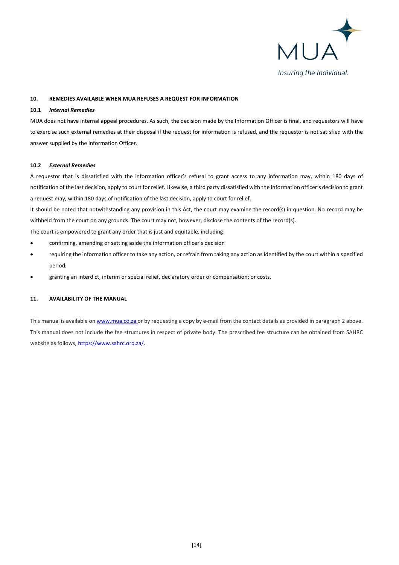

## **10. REMEDIES AVAILABLE WHEN MUA REFUSES A REQUEST FOR INFORMATION**

#### **10.1** *Internal Remedies*

MUA does not have internal appeal procedures. As such, the decision made by the Information Officer is final, and requestors will have to exercise such external remedies at their disposal if the request for information is refused, and the requestor is not satisfied with the answer supplied by the Information Officer.

#### **10.2** *External Remedies*

A requestor that is dissatisfied with the information officer's refusal to grant access to any information may, within 180 days of notification of the last decision, apply to court for relief. Likewise, a third party dissatisfied with the information officer's decision to grant a request may, within 180 days of notification of the last decision, apply to court for relief.

It should be noted that notwithstanding any provision in this Act, the court may examine the record(s) in question. No record may be withheld from the court on any grounds. The court may not, however, disclose the contents of the record(s).

The court is empowered to grant any order that is just and equitable, including:

- confirming, amending or setting aside the information officer's decision
- requiring the information officer to take any action, or refrain from taking any action as identified by the court within a specified period;
- granting an interdict, interim or special relief, declaratory order or compensation; or costs.

## **11. AVAILABILITY OF THE MANUAL**

This manual is available o[n www.mua.co.za](http://www.mua.co.za/) or by requesting a copy by e-mail from the contact details as provided in paragraph 2 above. This manual does not include the fee structures in respect of private body. The prescribed fee structure can be obtained from SAHRC website as follows, https://www.sahrc.org.za/.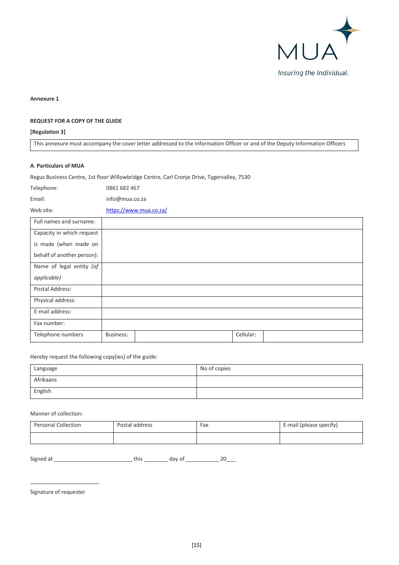

**Annexure 1**

# **REQUEST FOR A COPY OF THE GUIDE**

## **[Regulation 3]**

This annexure must accompany the cover letter addressed to the Information Officer or and of the Deputy Information Officers

#### **A**. **Particulars of MUA**

Regus Business Centre, 1st floor Willowbridge Centre, Carl Cronje Drive, Tygervalley, 7530

Telephone: 0861 682 467

Email: info@mua.co.za

Web site: [https://www.m](https://www./)ua.co.za/

| Full names and surname:    |                  |           |  |
|----------------------------|------------------|-----------|--|
| Capacity in which request  |                  |           |  |
| is made (when made on      |                  |           |  |
| behalf of another person): |                  |           |  |
| Name of legal entity (of   |                  |           |  |
| applicable)                |                  |           |  |
| Postal Address:            |                  |           |  |
| Physical address:          |                  |           |  |
| E-mail address:            |                  |           |  |
| Fax number:                |                  |           |  |
| Telephone numbers          | <b>Business:</b> | Cellular: |  |

Hereby request the following copy(ies) of the guide:

| Language  | No of copies |
|-----------|--------------|
| Afrikaans |              |
| English   |              |

Manner of collection:

| <b>Personal Collection</b> | Postal address | Fax | E-mail (please specify) |
|----------------------------|----------------|-----|-------------------------|
|                            |                |     |                         |

Signed at \_\_\_\_\_\_\_\_\_\_\_\_\_\_\_\_\_\_\_\_\_\_\_\_\_\_ this \_\_\_\_\_\_\_\_ day of \_\_\_\_\_\_\_\_\_\_\_ 20\_\_\_

Signature of requester

\_\_\_\_\_\_\_\_\_\_\_\_\_\_\_\_\_\_\_\_\_\_\_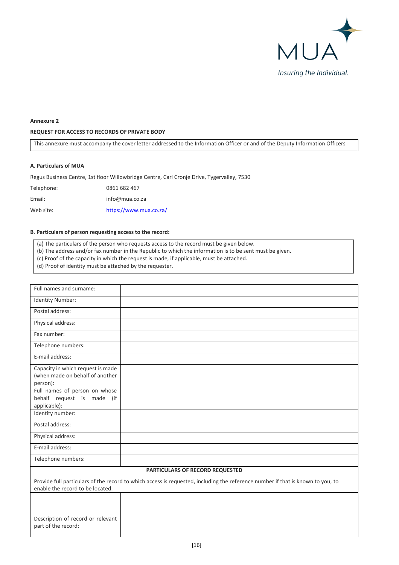

## **Annexure 2**

## **REQUEST FOR ACCESS TO RECORDS OF PRIVATE BODY**

This annexure must accompany the cover letter addressed to the Information Officer or and of the Deputy Information Officers

## **A**. **Particulars of MUA**

Regus Business Centre, 1st floor Willowbridge Centre, Carl Cronje Drive, Tygervalley, 7530

Telephone: 0861 682 467 Email: info@mua.co.za Web site: [https://www.m](https://www./)ua.co.za/

## **B**. **Particulars of person requesting access to the record:**

(a) The particulars of the person who requests access to the record must be given below.

(b) The address and/or fax number in the Republic to which the information is to be sent must be given.

(c) Proof of the capacity in which the request is made, if applicable, must be attached.

(d) Proof of identity must be attached by the requester.

| Full names and surname:                                                          |                                                                                                                                 |  |
|----------------------------------------------------------------------------------|---------------------------------------------------------------------------------------------------------------------------------|--|
| Identity Number:                                                                 |                                                                                                                                 |  |
| Postal address:                                                                  |                                                                                                                                 |  |
| Physical address:                                                                |                                                                                                                                 |  |
| Fax number:                                                                      |                                                                                                                                 |  |
| Telephone numbers:                                                               |                                                                                                                                 |  |
| E-mail address:                                                                  |                                                                                                                                 |  |
| Capacity in which request is made<br>(when made on behalf of another<br>person): |                                                                                                                                 |  |
| Full names of person on whose<br>behalf request is made (if<br>applicable):      |                                                                                                                                 |  |
| Identity number:                                                                 |                                                                                                                                 |  |
| Postal address:                                                                  |                                                                                                                                 |  |
| Physical address:                                                                |                                                                                                                                 |  |
| E-mail address:                                                                  |                                                                                                                                 |  |
| Telephone numbers:                                                               |                                                                                                                                 |  |
| PARTICULARS OF RECORD REQUESTED                                                  |                                                                                                                                 |  |
| enable the record to be located.                                                 | Provide full particulars of the record to which access is requested, including the reference number if that is known to you, to |  |
|                                                                                  |                                                                                                                                 |  |
| Description of record or relevant<br>part of the record:                         |                                                                                                                                 |  |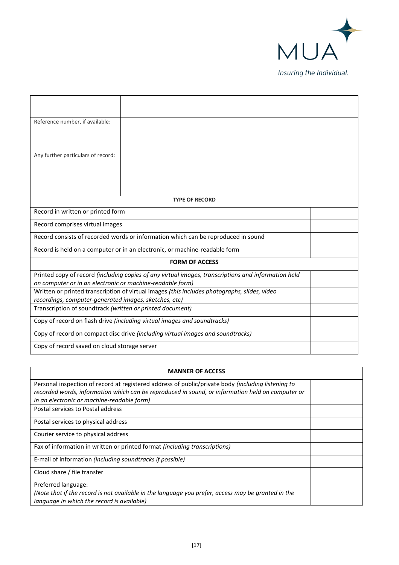

| Reference number, if available:                                                                                                                       |                                                                                                     |  |
|-------------------------------------------------------------------------------------------------------------------------------------------------------|-----------------------------------------------------------------------------------------------------|--|
| Any further particulars of record:                                                                                                                    |                                                                                                     |  |
|                                                                                                                                                       | <b>TYPE OF RECORD</b>                                                                               |  |
| Record in written or printed form                                                                                                                     |                                                                                                     |  |
| Record comprises virtual images                                                                                                                       |                                                                                                     |  |
|                                                                                                                                                       | Record consists of recorded words or information which can be reproduced in sound                   |  |
| Record is held on a computer or in an electronic, or machine-readable form                                                                            |                                                                                                     |  |
|                                                                                                                                                       | <b>FORM OF ACCESS</b>                                                                               |  |
| on computer or in an electronic or machine-readable form)                                                                                             | Printed copy of record (including copies of any virtual images, transcriptions and information held |  |
| Written or printed transcription of virtual images (this includes photographs, slides, video<br>recordings, computer-generated images, sketches, etc) |                                                                                                     |  |
| Transcription of soundtrack (written or printed document)                                                                                             |                                                                                                     |  |
|                                                                                                                                                       | Copy of record on flash drive (including virtual images and soundtracks)                            |  |
| Copy of record on compact disc drive (including virtual images and soundtracks)                                                                       |                                                                                                     |  |
| Copy of record saved on cloud storage server                                                                                                          |                                                                                                     |  |

| <b>MANNER OF ACCESS</b>                                                                            |  |  |
|----------------------------------------------------------------------------------------------------|--|--|
| Personal inspection of record at registered address of public/private body (including listening to |  |  |
| recorded words, information which can be reproduced in sound, or information held on computer or   |  |  |
| in an electronic or machine-readable form)                                                         |  |  |
| Postal services to Postal address                                                                  |  |  |
| Postal services to physical address                                                                |  |  |
| Courier service to physical address                                                                |  |  |
| Fax of information in written or printed format (including transcriptions)                         |  |  |
| E-mail of information (including soundtracks if possible)                                          |  |  |
| Cloud share / file transfer                                                                        |  |  |
| Preferred language:                                                                                |  |  |
| (Note that if the record is not available in the language you prefer, access may be granted in the |  |  |
| language in which the record is available)                                                         |  |  |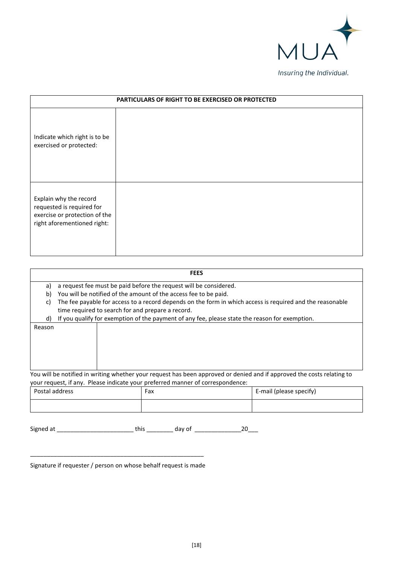

| PARTICULARS OF RIGHT TO BE EXERCISED OR PROTECTED                                                                   |  |  |  |  |
|---------------------------------------------------------------------------------------------------------------------|--|--|--|--|
| Indicate which right is to be<br>exercised or protected:                                                            |  |  |  |  |
| Explain why the record<br>requested is required for<br>exercise or protection of the<br>right aforementioned right: |  |  |  |  |

|                                                                                                                          |                                                                                                           | <b>FEES</b> |  |  |  |  |
|--------------------------------------------------------------------------------------------------------------------------|-----------------------------------------------------------------------------------------------------------|-------------|--|--|--|--|
| a)                                                                                                                       | a request fee must be paid before the request will be considered.                                         |             |  |  |  |  |
| b)                                                                                                                       | You will be notified of the amount of the access fee to be paid.                                          |             |  |  |  |  |
| C)                                                                                                                       | The fee payable for access to a record depends on the form in which access is required and the reasonable |             |  |  |  |  |
|                                                                                                                          | time required to search for and prepare a record.                                                         |             |  |  |  |  |
| d)                                                                                                                       | If you qualify for exemption of the payment of any fee, please state the reason for exemption.            |             |  |  |  |  |
| Reason                                                                                                                   |                                                                                                           |             |  |  |  |  |
|                                                                                                                          |                                                                                                           |             |  |  |  |  |
|                                                                                                                          |                                                                                                           |             |  |  |  |  |
|                                                                                                                          |                                                                                                           |             |  |  |  |  |
|                                                                                                                          |                                                                                                           |             |  |  |  |  |
| You will be notified in writing whether your request has been approved or denied and if approved the costs relating to   |                                                                                                           |             |  |  |  |  |
| your request, if any. Please indicate your preferred manner of correspondence:<br>_ _ _ _<br>$\cdots$<br>$\cdot$ $\cdot$ |                                                                                                           |             |  |  |  |  |

| Postal address | Fax | E-mail (please specify) |  |
|----------------|-----|-------------------------|--|
|                |     |                         |  |

| Signed at |  |  |  |
|-----------|--|--|--|
|-----------|--|--|--|

\_\_\_\_\_\_\_\_\_\_\_\_\_\_\_\_\_\_\_\_\_\_\_\_\_\_\_\_\_\_\_\_\_\_\_\_\_\_\_\_\_\_\_\_\_\_\_\_\_\_\_\_ Signature if requester / person on whose behalf request is made